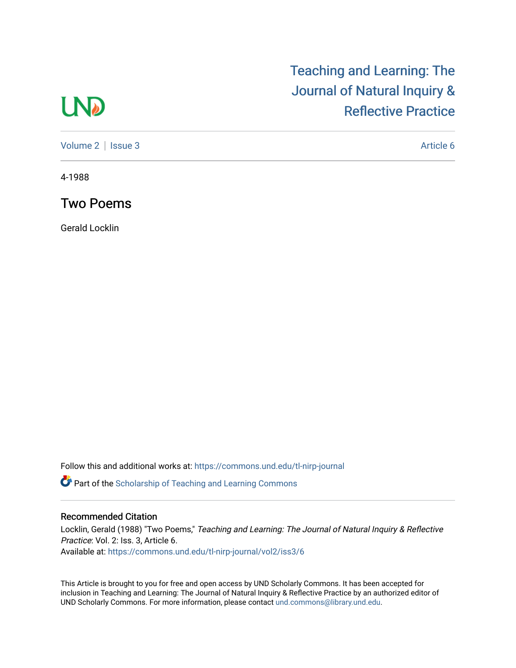# **LND**

## [Teaching and Learning: The](https://commons.und.edu/tl-nirp-journal)  [Journal of Natural Inquiry &](https://commons.und.edu/tl-nirp-journal)  [Reflective Practice](https://commons.und.edu/tl-nirp-journal)

[Volume 2](https://commons.und.edu/tl-nirp-journal/vol2) | [Issue 3](https://commons.und.edu/tl-nirp-journal/vol2/iss3) Article 6

4-1988

Two Poems

Gerald Locklin

Follow this and additional works at: [https://commons.und.edu/tl-nirp-journal](https://commons.und.edu/tl-nirp-journal?utm_source=commons.und.edu%2Ftl-nirp-journal%2Fvol2%2Fiss3%2F6&utm_medium=PDF&utm_campaign=PDFCoverPages) 

**P** Part of the Scholarship of Teaching and Learning Commons

#### Recommended Citation

Locklin, Gerald (1988) "Two Poems," Teaching and Learning: The Journal of Natural Inquiry & Reflective Practice: Vol. 2: Iss. 3, Article 6. Available at: [https://commons.und.edu/tl-nirp-journal/vol2/iss3/6](https://commons.und.edu/tl-nirp-journal/vol2/iss3/6?utm_source=commons.und.edu%2Ftl-nirp-journal%2Fvol2%2Fiss3%2F6&utm_medium=PDF&utm_campaign=PDFCoverPages)

This Article is brought to you for free and open access by UND Scholarly Commons. It has been accepted for inclusion in Teaching and Learning: The Journal of Natural Inquiry & Reflective Practice by an authorized editor of UND Scholarly Commons. For more information, please contact [und.commons@library.und.edu.](mailto:und.commons@library.und.edu)